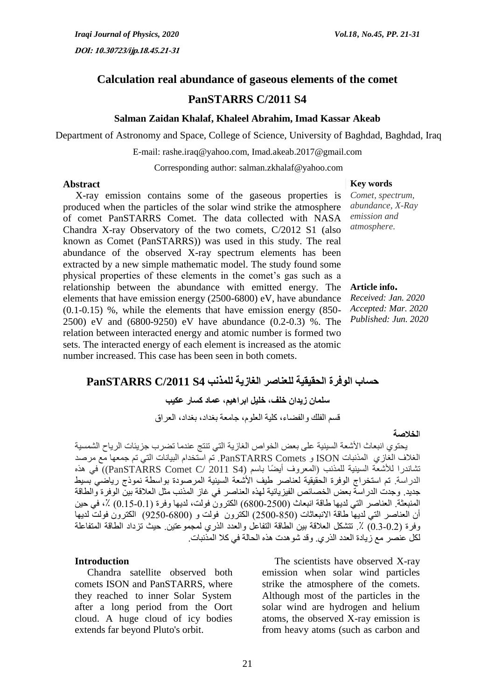# **Calculation real abundance of gaseous elements of the comet PanSTARRS C/2011 S4**

#### **Salman Zaidan Khalaf, Khaleel Abrahim, Imad Kassar Akeab**

Department of Astronomy and Space, College of Science, University of Baghdad, Baghdad, Iraq

E-mail: [rashe.iraq@yahoo.com,](mailto:rashe.iraq@yahoo.com) Imad.akeab.2017@gmail.com

Corresponding author: salman.zkhalaf@yahoo.com

#### **Abstract Key words**

 X-ray emission contains some of the gaseous properties is produced when the particles of the solar wind strike the atmosphere of comet PanSTARRS Comet. The data collected with NASA Chandra X-ray Observatory of the two comets, C/2012 S1 (also known as Comet (PanSTARRS)) was used in this study. The real abundance of the observed X-ray spectrum elements has been extracted by a new simple mathematic model. The study found some physical properties of these elements in the comet's gas such as a relationship between the abundance with emitted energy. The elements that have emission energy (2500-6800) eV, have abundance (0.1-0.15) %, while the elements that have emission energy (850- 2500) eV and (6800-9250) eV have abundance (0.2-0.3) %. The relation between interacted energy and atomic number is formed two sets. The interacted energy of each element is increased as the atomic number increased. This case has been seen in both comets.

# *Comet, spectrum,*

*abundance, X-Ray emission and atmosphere.*

### **Article info.**

*Received: Jan. 2020 Accepted: Mar. 2020 Published: Jun. 2020*

# **حساب الوفرة الحقيقية للعناصر الغازية للمذنب 4S /2011C PanSTARRS**

**سلمان زيدان خلف, خليل ابراهيم, عماد كسار عكيب**

قسم الفلك والفضاء, كلية العلوم, جامعة بغداد, بغداد, العراق

#### ا**لخالصة**

 يحتوي انبعاث األشعة السينية على بعض الخواص الغازية التي تنتج عندما تضرب جزيئات الرياح الشمسية الغالف الغازي المذنبات ISON و Comets PanSTARRS. تم استخدام البيانات التي تم جمعها مع مرصد تشاندرا للأشعة السينية للمذنب (المعروف أيضًا باسم (4S 2011 /PanSTARRS Comet C)) في هذه الدراسة. تم استخراج الوفرة الحقيقية لعناصر طيف األشعة السينية المرصودة بواسطة نموذج رياضي بسيط جديد. وجدت الدراسة بعض الخصائص الفيزيائية لهذه العناصر في غاز المذنب مثل العالقة بين الوفرة والطاقة المنبعثة. العناصر التي لديها طاقة انبعاث (2500-6800) الكترون فولت، لديها وفرة (0.11-0.1) ٪، في حين أن العناصر التي لديها طاقة االنبعاثات )0022-002( الكترون فولت و )0002-0022( الكترون فولت لديها وفرة (0.2-0.3) ٪ تتشكل العلاقة بين الطاقة التفاعل والعدد الذري لمجموعتين حيث تزداد الطاقة المتفاعلة لكل عنصر مع زيادة العدد الذري. وقد شوهدت هذه الحالة في كال المذنبات.

#### **Introduction**

 Chandra satellite observed both comets ISON and PanSTARRS, where they reached to inner Solar System after a long period from the Oort cloud. A huge cloud of icy bodies extends far beyond Pluto's orbit.

 The scientists have observed X-ray emission when solar wind particles strike the atmosphere of the comets. Although most of the particles in the solar wind are hydrogen and helium atoms, the observed X-ray emission is from heavy atoms (such as carbon and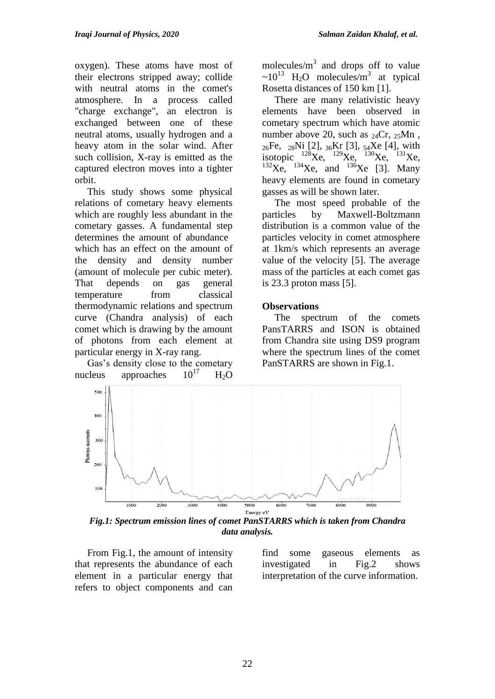oxygen). These atoms have most of their electrons stripped away; collide with neutral atoms in the comet's atmosphere. In a process called "charge exchange", an electron is exchanged between one of these neutral atoms, usually hydrogen and a heavy atom in the solar wind. After such collision, X-ray is emitted as the captured electron moves into a tighter orbit.

 This study shows some physical relations of cometary heavy elements which are roughly less abundant in the cometary gasses. A fundamental step determines the amount of abundance which has an effect on the amount of the density and density number (amount of molecule per cubic meter). That depends on gas general temperature from classical thermodynamic relations and spectrum curve (Chandra analysis) of each comet which is drawing by the amount of photons from each element at particular energy in X-ray rang.

 Gas's density close to the cometary nucleus approaches  $10^{17}$  H<sub>2</sub>O

molecules/ $m<sup>3</sup>$  and drops off to value ~10<sup>13</sup> H<sub>2</sub>O molecules/m<sup>3</sup> at typical Rosetta distances of 150 km [1].

 There are many relativistic heavy elements have been observed in cometary spectrum which have atomic number above 20, such as  $_{24}Cr$ ,  $_{25}Mn$ , 26Fe, 28Ni [2], 36Kr [3], 54Xe [4], with<br>isotopic  $^{128}\text{Xe}$ ,  $^{129}\text{Xe}$ ,  $^{130}\text{Xe}$ ,  $^{131}\text{Xe}$ ,  $\frac{128}{128} \text{Xe}$ ,  $\frac{128}{129} \text{Xe}$ ,  $^{132}\text{X}$ e,  $^{134}\text{X}$ e, and  $^{136}\text{X}$ e [3]. Many heavy elements are found in cometary gasses as will be shown later.

 The most speed probable of the particles by Maxwell-Boltzmann distribution is a common value of the particles velocity in comet atmosphere at 1km/s which represents an average value of the velocity [5]. The average mass of the particles at each comet gas is 23.3 proton mass [5].

# **Observations**

 The spectrum of the comets PansTARRS and ISON is obtained from Chandra site using DS9 program where the spectrum lines of the comet PanSTARRS are shown in Fig.1.



*Fig.1: Spectrum emission lines of comet PanSTARRS which is taken from Chandra data analysis.*

 From Fig.1, the amount of intensity that represents the abundance of each element in a particular energy that refers to object components and can find some gaseous elements as investigated in Fig.2 shows interpretation of the curve information.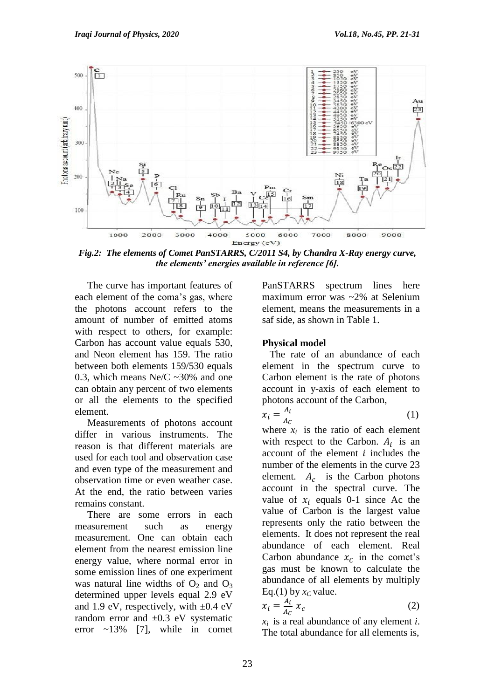

*Fig.2: The elements of Comet PanSTARRS, C/2011 S4, by Chandra X-Ray energy curve, the elements' energies available in reference [6].*

 The curve has important features of each element of the coma's gas, where the photons account refers to the amount of number of emitted atoms with respect to others, for example: Carbon has account value equals 530, and Neon element has 159. The ratio between both elements 159/530 equals 0.3, which means Ne/C  $\sim$  30% and one can obtain any percent of two elements or all the elements to the specified element.

 Measurements of photons account differ in various instruments. The reason is that different materials are used for each tool and observation case and even type of the measurement and observation time or even weather case. At the end, the ratio between varies remains constant.

 There are some errors in each measurement such as energy measurement. One can obtain each element from the nearest emission line energy value, where normal error in some emission lines of one experiment was natural line widths of  $O_2$  and  $O_3$ determined upper levels equal 2.9 eV and 1.9 eV, respectively, with  $\pm 0.4$  eV random error and  $\pm 0.3$  eV systematic error  $\sim$ 13% [7], while in comet

PanSTARRS spectrum lines here maximum error was ~2% at Selenium element, means the measurements in a saf side, as shown in Table 1.

# **Physical model**

 The rate of an abundance of each element in the spectrum curve to Carbon element is the rate of photons account in y-axis of each element to photons account of the Carbon,

$$
x_i = \frac{A_i}{A_C} \tag{1}
$$

where  $x_i$  is the ratio of each element with respect to the Carbon.  $A_i$  is an account of the element  $i$  includes the number of the elements in the curve 23 element.  $A_c$  is the Carbon photons account in the spectral curve. The value of  $x_i$  equals 0-1 since Ac the value of Carbon is the largest value represents only the ratio between the elements. It does not represent the real abundance of each element. Real Carbon abundance  $x_c$  in the comet's gas must be known to calculate the abundance of all elements by multiply Eq.(1) by  $x_C$  value.

$$
x_i = \frac{A_i}{A_C} x_c \tag{2}
$$

 $x_i$  is a real abundance of any element *i*. The total abundance for all elements is,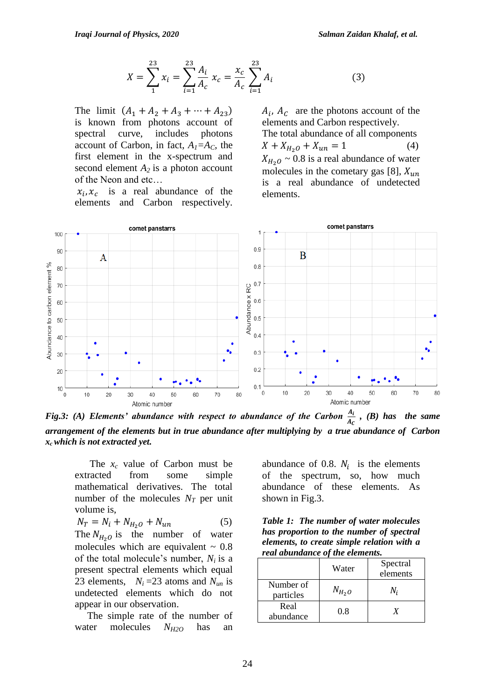$$
X = \sum_{1}^{23} x_i = \sum_{i=1}^{23} \frac{A_i}{A_c} x_c = \frac{x_c}{A_c} \sum_{i=1}^{23} A_i
$$
 (3)

The limit  $(A_1 + A_2 + A_3 + \cdots + A_{23})$ is known from photons account of spectral curve, includes photons account of Carbon, in fact,  $A_I = A_C$ , the first element in the x-spectrum and second element  $A_2$  is a photon account of the Neon and etc…

 $x_i, x_c$  is a real abundance of the elements and Carbon respectively.

$$
(\mathbf{3})
$$

 $A_i$ ,  $A_c$  are the photons account of the elements and Carbon respectively. The total abundance of all components  $X + X_{H_2O} + X_{un} = 1$  (4)  $X_{H_2O} \sim 0.8$  is a real abundance of water molecules in the cometary gas [8],  $X_{un}$ is a real abundance of undetected elements.



*Fig.3: (A) Elements' abundance with respect to abundance of the Carbon*  $\frac{A_l}{A_c}$ , *(B) has the same arrangement of the elements but in true abundance after multiplying by a true abundance of Carbon xc which is not extracted yet.*

 The *x<sup>c</sup>* value of Carbon must be extracted from some simple mathematical derivatives. The total number of the molecules  $N_T$  per unit volume is,

 $N_T = N_i + N_{H_2O} + N_{un}$  (5) The  $N_{H_2O}$  is the number of water molecules which are equivalent  $\sim 0.8$ of the total molecule's number, *Ni* is a present spectral elements which equal 23 elements,  $N_i = 23$  atoms and  $N_{un}$  is undetected elements which do not appear in our observation.

 The simple rate of the number of water molecules *NH2O* has an

abundance of 0.8.  $N_i$  is the elements of the spectrum, so, how much abundance of these elements. As shown in Fig.3.

*Table 1: The number of water molecules has proportion to the number of spectral elements, to create simple relation with a real abundance of the elements.*

|                        | Water      | Spectral<br>elements |
|------------------------|------------|----------------------|
| Number of<br>particles | $N_{H_2O}$ | N.                   |
| Real<br>abundance      | 0.8        |                      |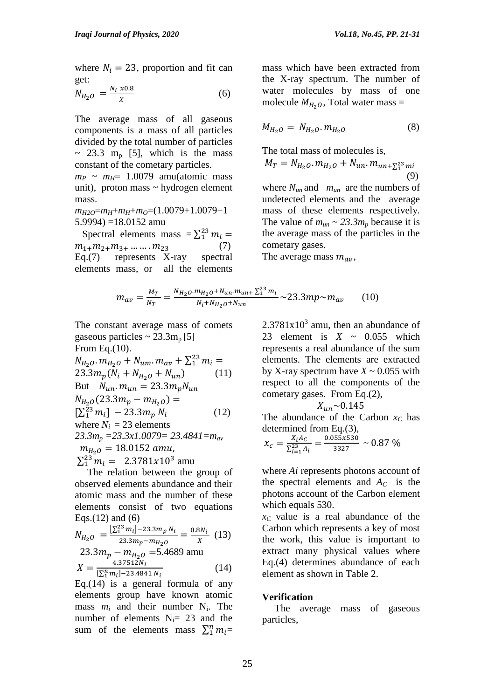where  $N_i = 23$ , proportion and fit can get:

$$
N_{H_2O} = \frac{N_i \times 0.8}{X}
$$
 (6)

The average mass of all gaseous components is a mass of all particles divided by the total number of particles  $\sim$  23.3 m<sub>p</sub> [5], which is the mass constant of the cometary particles.

 $m_P \sim m_H$ = 1.0079 amu(atomic mass unit), proton mass  $\sim$  hydrogen element mass.

*mH2O*=*mH*+*mH*+*mO*=(1.0079+1.0079+1 5.9994) =18.0152 amu

Spectral elements mass =  $\sum_{1}^{23} m$  $m_{1+}m_{2+}m_{3+} \dots \dots \dots m_{23}$  (7) Eq.(7) represents X-ray spectral elements mass, or all the elements

mass which have been extracted from the X-ray spectrum. The number of water molecules by mass of one molecule  $M_{H_2O}$ , Total water mass =

$$
M_{H_2O} = N_{H_2O} . m_{H_2O} \tag{8}
$$

The total mass of molecules is,

$$
M_T = N_{H_2O} \cdot m_{H_2O} + N_{un} \cdot m_{un + \sum_{1}^{23} mi}
$$
\n(9)

where  $N_{un}$  and  $m_{un}$  are the numbers of undetected elements and the average mass of these elements respectively. The value of  $m_{un} \sim 23.3 m_p$  because it is the average mass of the particles in the cometary gases.

The average mass  $m_{av}$ ,

$$
m_{av} = \frac{M_T}{N_T} = \frac{N_{H_2O} \cdot m_{H_2O} + N_{un} \cdot m_{un+} \Sigma_1^{23} \cdot m_i}{N_i + N_{H_2O} + N_{un}} \sim 23.3 m p \sim m_{av} \tag{10}
$$

The constant average mass of comets gaseous particles  $\sim 23.3 \text{m}_p[5]$ From Eq.(10).  $N_{H_2O}$ .  $m_{H_2O}$  +  $N_{um}$ .  $m_{av}$  +  $\Sigma_1^{23}$  m  $23.3m_p(N_i + N_{H_2O} + N_{un})$  (11) But  $N_{un}. m_{un} = 23.3 m_p N_{un}$  $N_{H_2O}(23.3m_p - m_{H_2O}) =$  $[\sum_1^{23} m_i]$  (12) where  $N_i = 23$  elements

*23.3m<sup>p</sup> =23.3x1.0079= 23.4841=mav*  $m_{H_2O} = 18.0152$  amu,  $\sum_{1}^{23} m_i = 2.3781x10^3$  amu

 The relation between the group of observed elements abundance and their atomic mass and the number of these elements consist of two equations Eqs. $(12)$  and  $(6)$ 

$$
N_{H_2O} = \frac{\left[\sum_{i=1}^{23} m_i\right] - 23.3 m_p N_i}{23.3 m_p - m_{H_2O}} = \frac{0.8 N_i}{X} (13)
$$
  
23.3  $m_p - m_{H_2O} = 5.4689$  amu  

$$
X = \frac{4.37512 N_i}{\left[\sum_{i=1}^{23} m_i\right] - 23.4841 N_i}
$$
 (14)

Eq.(14) is a general formula of any elements group have known atomic mass  $m_i$  and their number  $N_i$ . The number of elements  $N_i = 23$  and the sum of the elements mass  $\sum_{i=1}^{n} m_i =$   $2.3781x10<sup>3</sup>$  amu, then an abundance of 23 element is  $X \sim 0.055$  which represents a real abundance of the sum elements. The elements are extracted by X-ray spectrum have  $X \sim 0.055$  with respect to all the components of the cometary gases. From Eq.(2),

$$
X_{un} \sim 0.145
$$

The abundance of the Carbon  $x_C$  has determined from Eq.(3),

$$
x_c = \frac{X_i A_C}{\Sigma_{i=1}^{23} A_i} = \frac{0.055 \times 530}{3327} \sim 0.87 \%
$$

where *Ai* represents photons account of the spectral elements and  $A_C$  is the photons account of the Carbon element which equals 530.

 $x_C$  value is a real abundance of the Carbon which represents a key of most the work, this value is important to extract many physical values where Eq.(4) determines abundance of each element as shown in Table 2.

#### **Verification**

 The average mass of gaseous particles,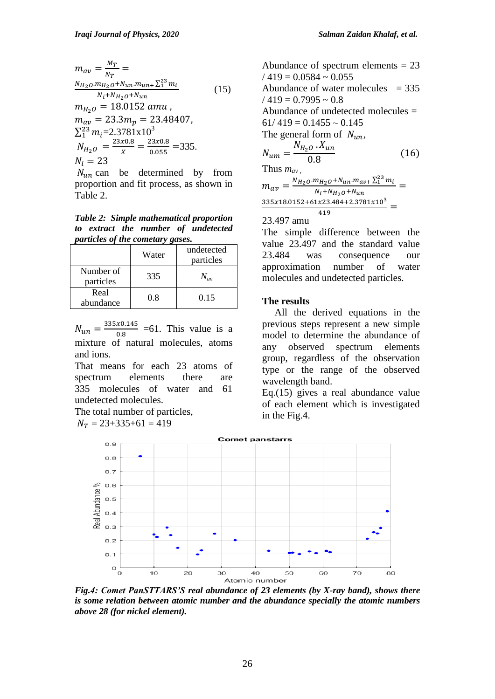$$
m_{av} = \frac{M_T}{N_T} =
$$
  
\n
$$
\frac{N_{H_2O}.m_{H_2O} + N_{un}.m_{un+} \Sigma_1^{23} m_i}{N_i + N_{H_2O} + N_{un}}
$$
 (15)  
\n
$$
m_{H_2O} = 18.0152 \text{ amu},
$$
  
\n
$$
m_{av} = 23.3m_p = 23.48407,
$$
  
\n
$$
\Sigma_1^{23} m_i = 2.3781 \times 10^3
$$
  
\n
$$
N_{H_2O} = \frac{23 \times 0.8}{X} = \frac{23 \times 0.8}{0.055} = 335.
$$
  
\n
$$
N_i = 23
$$

 $N_{un}$  can be determined by from proportion and fit process, as shown in Table 2.

*Table 2: Simple mathematical proportion to extract the number of undetected particles of the cometary gases.* 

|                        | Water | undetected<br>particles |
|------------------------|-------|-------------------------|
| Number of<br>particles | 335   |                         |
| Real<br>abundance      | 0.8   | 0.15                    |

 $N_{un}=\frac{3}{2}$  $\frac{x0.145}{0.8}$  =61. This value is a mixture of natural molecules, atoms and ions.

That means for each 23 atoms of spectrum elements there are 335 molecules of water and 61 undetected molecules.

The total number of particles,  $N_T = 23+335+61 = 419$ 

Abundance of spectrum elements  $= 23$  $/419 = 0.0584 \approx 0.055$ Abundance of water molecules  $= 335$  $/419 = 0.7995 \approx 0.8$ Abundance of undetected molecules =  $61/419 = 0.1455 \sim 0.145$ The general form of  $N_{un}$ ,  $\overline{N}$  $\overline{N}$  $\boldsymbol{0}$  $(16)$ Thus  $m_{av}$  $m_{av} = \frac{N_{H_2O} \cdot m_{H_2O} + N_{un} \cdot m_{av+} \sum_{1}^{23} m}{N_{H_2O} + N_{H_1O} + N_{H_2O}}$  $\frac{n_{H_2}U + N_{un} \cdot m_{av+} \Delta_1}{N_i + N_{H_2}U + N_{un}} =$  $\frac{335x18.0152+61x23.484+2.3781x10^3}{410} =$ 419 23.497 amu

The simple difference between the value 23.497 and the standard value 23.484 was consequence our approximation number of water molecules and undetected particles.

## **The results**

 All the derived equations in the previous steps represent a new simple model to determine the abundance of any observed spectrum elements group, regardless of the observation type or the range of the observed wavelength band.

Eq.(15) gives a real abundance value of each element which is investigated in the Fig.4.



*Fig.4: Comet PanSTTARS'S real abundance of 23 elements (by X-ray band), shows there is some relation between atomic number and the abundance specially the atomic numbers above 28 (for nickel element).*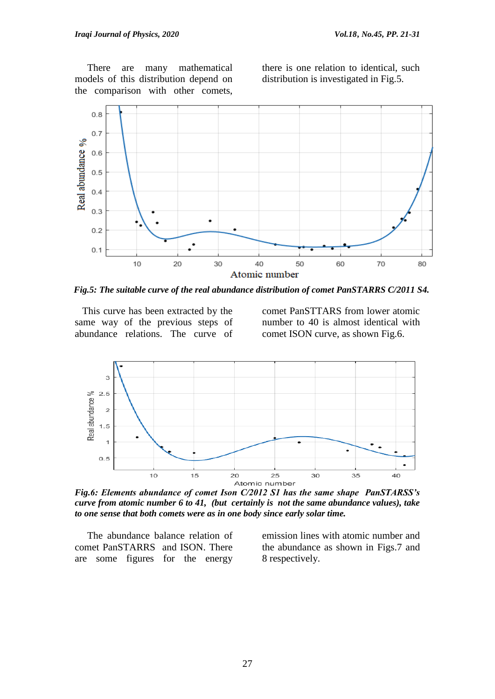There are many mathematical models of this distribution depend on the comparison with other comets,

there is one relation to identical, such distribution is investigated in Fig.5.



*Fig.5: The suitable curve of the real abundance distribution of comet PanSTARRS C/2011 S4.*

 This curve has been extracted by the same way of the previous steps of abundance relations. The curve of comet PanSTTARS from lower atomic number to 40 is almost identical with comet ISON curve, as shown Fig.6.



*Fig.6: Elements abundance of comet Ison C/2012 S1 has the same shape PanSTARSS's curve from atomic number 6 to 41, (but certainly is not the same abundance values), take to one sense that both comets were as in one body since early solar time.*

 The abundance balance relation of comet PanSTARRS and ISON. There are some figures for the energy emission lines with atomic number and the abundance as shown in Figs.7 and 8 respectively.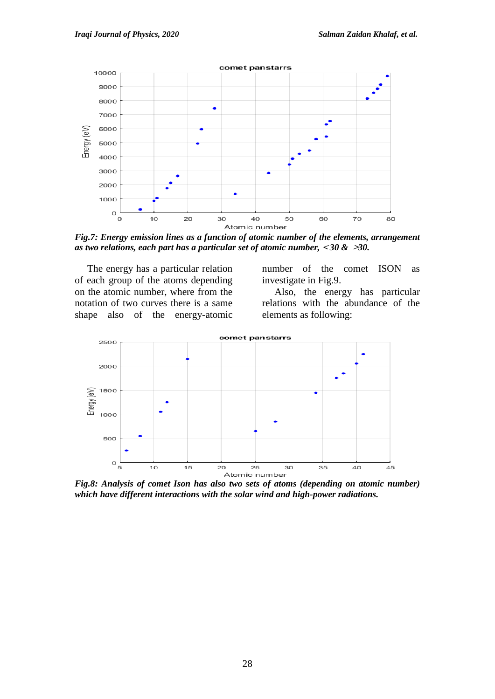

*Fig.7: Energy emission lines as a function of atomic number of the elements, arrangement as two relations, each part has a particular set of atomic number,* **<sup>&</sup>gt;** *30 &* **<***30.*

 The energy has a particular relation of each group of the atoms depending on the atomic number, where from the notation of two curves there is a same shape also of the energy-atomic number of the comet ISON as investigate in Fig.9.

 Also, the energy has particular relations with the abundance of the elements as following:



*Fig.8: Analysis of comet Ison has also two sets of atoms (depending on atomic number) which have different interactions with the solar wind and high-power radiations.*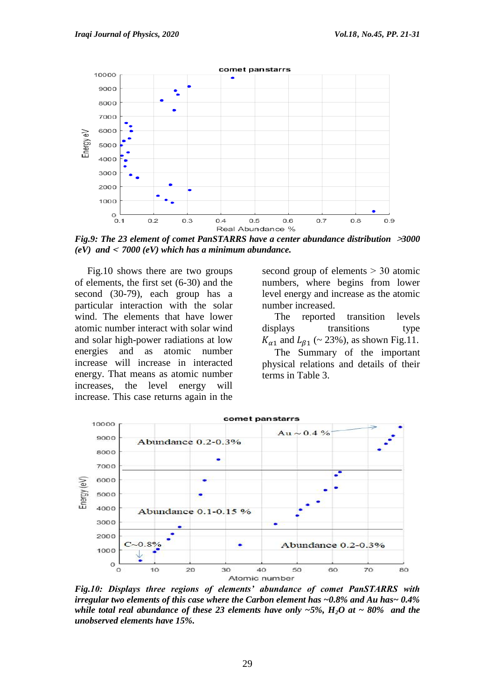

*Fig.9: The 23 element of comet PanSTARRS have a center abundance distribution* **<***3000*   $(eV)$  and  $\leq 7000$   $(eV)$  which has a minimum abundance.

 Fig.10 shows there are two groups of elements, the first set (6-30) and the second (30-79), each group has a particular interaction with the solar wind. The elements that have lower atomic number interact with solar wind and solar high-power radiations at low energies and as atomic number increase will increase in interacted energy. That means as atomic number increases, the level energy will increase. This case returns again in the

second group of elements  $> 30$  atomic numbers, where begins from lower level energy and increase as the atomic number increased.

 The reported transition levels displays transitions type  $K_{\alpha 1}$  and  $L_{\beta 1}$  (~ 23%), as shown Fig.11.

 The Summary of the important physical relations and details of their terms in Table 3.



*Fig.10: Displays three regions of elements' abundance of comet PanSTARRS with irregular two elements of this case where the Carbon element has ~0.8% and Au has~ 0.4% while total real abundance of these 23 elements have only*  $-5\%$ *,*  $H_2O$  *at*  $\sim 80\%$  *and the unobserved elements have 15%.*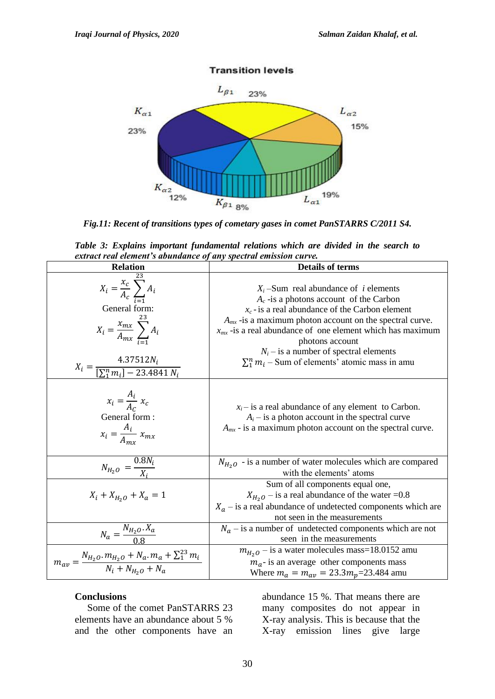

#### **Transition levels**

*Fig.11: Recent of transitions types of cometary gases in comet PanSTARRS C/2011 S4.*

|                                                                  |  |  | Table 3: Explains important fundamental relations which are divided in the search to |  |  |  |  |  |  |  |  |
|------------------------------------------------------------------|--|--|--------------------------------------------------------------------------------------|--|--|--|--|--|--|--|--|
| extract real element's abundance of any spectral emission curve. |  |  |                                                                                      |  |  |  |  |  |  |  |  |

| <b>Relation</b>                                                                                                                                                                 | <b>Details of terms</b>                                                                                                                                                                                                                                                                                                                                                                                  |  |  |
|---------------------------------------------------------------------------------------------------------------------------------------------------------------------------------|----------------------------------------------------------------------------------------------------------------------------------------------------------------------------------------------------------------------------------------------------------------------------------------------------------------------------------------------------------------------------------------------------------|--|--|
| $X_i = \frac{x_c}{A_c} \sum_{i=1} A_i$<br>General form:<br>$X_i = \frac{x_{mx}}{A_{mx}} \sum_i A_i$<br>$X_i = \frac{4.37512N_i}{\left[\sum_{i=1}^{n} m_i\right] - 23.4841 N_i}$ | $X_i$ -Sum real abundance of <i>i</i> elements<br>$A_c$ -is a photons account of the Carbon<br>$x_c$ -is a real abundance of the Carbon element<br>$A_{mx}$ -is a maximum photon account on the spectral curve.<br>$x_{mx}$ -is a real abundance of one element which has maximum<br>photons account<br>$N_i$ – is a number of spectral elements<br>$\sum_1^n m_i$ – Sum of elements' atomic mass in amu |  |  |
| $x_i = \frac{A_i}{A_c} x_c$<br>General form:<br>$x_i = \frac{A_i}{A_{m r}} x_{m x}$                                                                                             | $x_i$ – is a real abundance of any element to Carbon.<br>$A_i$ – is a photon account in the spectral curve<br>$A_{mx}$ - is a maximum photon account on the spectral curve.                                                                                                                                                                                                                              |  |  |
| $N_{H_2O} = \frac{0.8N_i}{Y}$                                                                                                                                                   | $N_{H_2O}$ - is a number of water molecules which are compared<br>with the elements' atoms                                                                                                                                                                                                                                                                                                               |  |  |
| $X_i + X_{H_2O} + X_a = 1$                                                                                                                                                      | Sum of all components equal one,<br>$X_{H_2O}$ – is a real abundance of the water =0.8<br>$X_a$ – is a real abundance of undetected components which are<br>not seen in the measurements                                                                                                                                                                                                                 |  |  |
| $N_a = \frac{N_{H_2O} \cdot X_a}{0.8}$                                                                                                                                          | $N_a$ – is a number of undetected components which are not<br>seen in the measurements                                                                                                                                                                                                                                                                                                                   |  |  |
| $m_{av} = \frac{N_{H_2O} \cdot m_{H_2O} + N_a \cdot m_a + \sum_{i=1}^{23} m_i}{N_i + N_{H_2O} + N_a}$                                                                           | $m_{H_2O}$ – is a water molecules mass=18.0152 amu<br>$m_a$ - is an average other components mass<br>Where $m_a = m_{av} = 23.3 m_p = 23.484$ amu                                                                                                                                                                                                                                                        |  |  |

## **Conclusions**

 Some of the comet PanSTARRS 23 elements have an abundance about 5 % and the other components have an

abundance 15 %. That means there are many composites do not appear in X-ray analysis. This is because that the X-ray emission lines give large